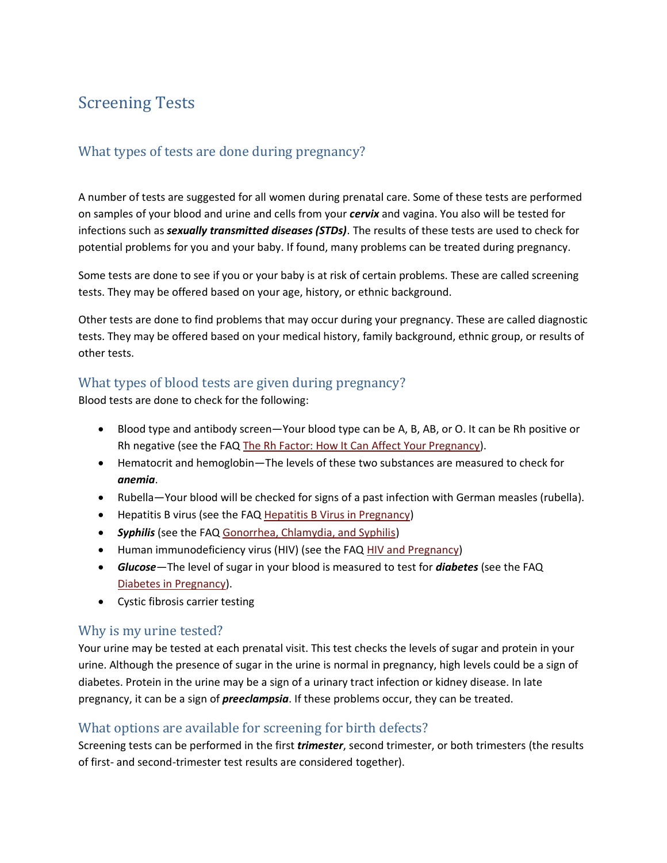# Screening Tests

# What types of tests are done during pregnancy?

A number of tests are suggested for all women during prenatal care. Some of these tests are performed on samples of your blood and urine and cells from your *cervix* and vagina. You also will be tested for infections such as *sexually transmitted diseases (STDs)*. The results of these tests are used to check for potential problems for you and your baby. If found, many problems can be treated during pregnancy.

Some tests are done to see if you or your baby is at risk of certain problems. These are called screening tests. They may be offered based on your age, history, or ethnic background.

Other tests are done to find problems that may occur during your pregnancy. These are called diagnostic tests. They may be offered based on your medical history, family background, ethnic group, or results of other tests.

## What types of blood tests are given during pregnancy?

Blood tests are done to check for the following:

- Blood type and antibody screen—Your blood type can be A, B, AB, or O. It can be Rh positive or Rh negative (see the FAQ [The Rh Factor: How It Can Affect Your Pregnancy\)](http://www.acog.org/publications/faq/faq027.cfm).
- Hematocrit and hemoglobin—The levels of these two substances are measured to check for *anemia*.
- Rubella—Your blood will be checked for signs of a past infection with German measles (rubella).
- Hepatitis B virus (see the FAQ [Hepatitis B Virus in Pregnancy\)](http://www.acog.org/publications/faq/faq093.cfm)
- *Syphilis* (see the FAQ [Gonorrhea, Chlamydia, and Syphilis\)](http://www.acog.org/publications/faq/faq071.cfm)
- Human immunodeficiency virus (HIV) (see the FAQ [HIV and Pregnancy\)](http://www.acog.org/publications/faq/faq113.cfm)
- *Glucose*—The level of sugar in your blood is measured to test for *diabetes* (see the FAQ [Diabetes in Pregnancy\)](http://www.acog.org/publications/faq/faq051.cfm).
- Cystic fibrosis carrier testing

#### Why is my urine tested?

Your urine may be tested at each prenatal visit. This test checks the levels of sugar and protein in your urine. Although the presence of sugar in the urine is normal in pregnancy, high levels could be a sign of diabetes. Protein in the urine may be a sign of a urinary tract infection or kidney disease. In late pregnancy, it can be a sign of *preeclampsia*. If these problems occur, they can be treated.

## What options are available for screening for birth defects?

Screening tests can be performed in the first *trimester*, second trimester, or both trimesters (the results of first- and second-trimester test results are considered together).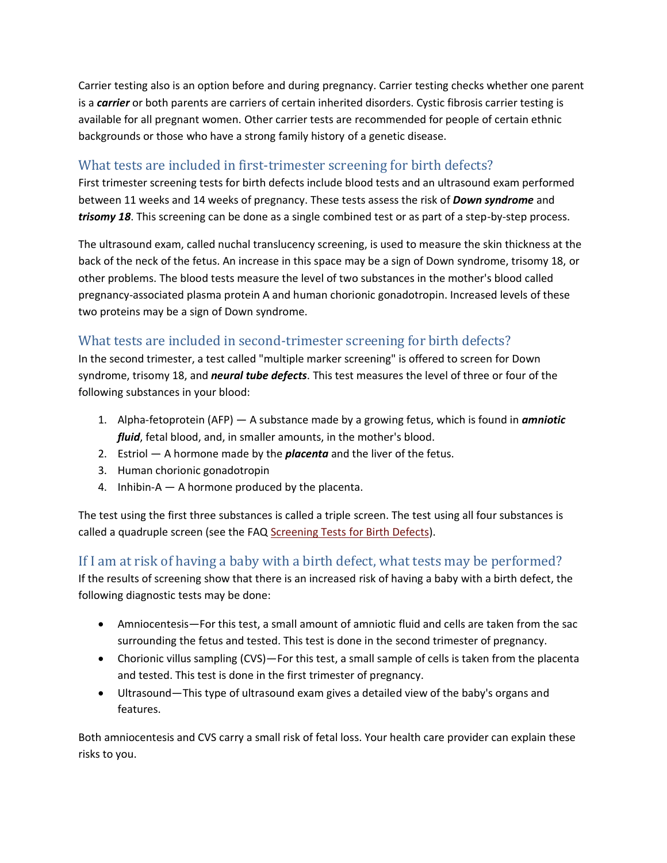Carrier testing also is an option before and during pregnancy. Carrier testing checks whether one parent is a *carrier* or both parents are carriers of certain inherited disorders. Cystic fibrosis carrier testing is available for all pregnant women. Other carrier tests are recommended for people of certain ethnic backgrounds or those who have a strong family history of a genetic disease.

## What tests are included in first-trimester screening for birth defects?

First trimester screening tests for birth defects include blood tests and an ultrasound exam performed between 11 weeks and 14 weeks of pregnancy. These tests assess the risk of *Down syndrome* and *trisomy 18*. This screening can be done as a single combined test or as part of a step-by-step process.

The ultrasound exam, called nuchal translucency screening, is used to measure the skin thickness at the back of the neck of the fetus. An increase in this space may be a sign of Down syndrome, trisomy 18, or other problems. The blood tests measure the level of two substances in the mother's blood called pregnancy-associated plasma protein A and human chorionic gonadotropin. Increased levels of these two proteins may be a sign of Down syndrome.

## What tests are included in second-trimester screening for birth defects?

In the second trimester, a test called "multiple marker screening" is offered to screen for Down syndrome, trisomy 18, and *neural tube defects*. This test measures the level of three or four of the following substances in your blood:

- 1. Alpha-fetoprotein (AFP) A substance made by a growing fetus, which is found in *amniotic fluid*, fetal blood, and, in smaller amounts, in the mother's blood.
- 2. Estriol A hormone made by the *placenta* and the liver of the fetus.
- 3. Human chorionic gonadotropin
- 4. Inhibin-A A hormone produced by the placenta.

The test using the first three substances is called a triple screen. The test using all four substances is called a quadruple screen (see the FAQ [Screening Tests for Birth Defects\)](http://www.acog.org/publications/faq/faq165.cfm).

#### If I am at risk of having a baby with a birth defect, what tests may be performed?

If the results of screening show that there is an increased risk of having a baby with a birth defect, the following diagnostic tests may be done:

- Amniocentesis—For this test, a small amount of amniotic fluid and cells are taken from the sac surrounding the fetus and tested. This test is done in the second trimester of pregnancy.
- Chorionic villus sampling (CVS)—For this test, a small sample of cells is taken from the placenta and tested. This test is done in the first trimester of pregnancy.
- Ultrasound—This type of ultrasound exam gives a detailed view of the baby's organs and features.

Both amniocentesis and CVS carry a small risk of fetal loss. Your health care provider can explain these risks to you.